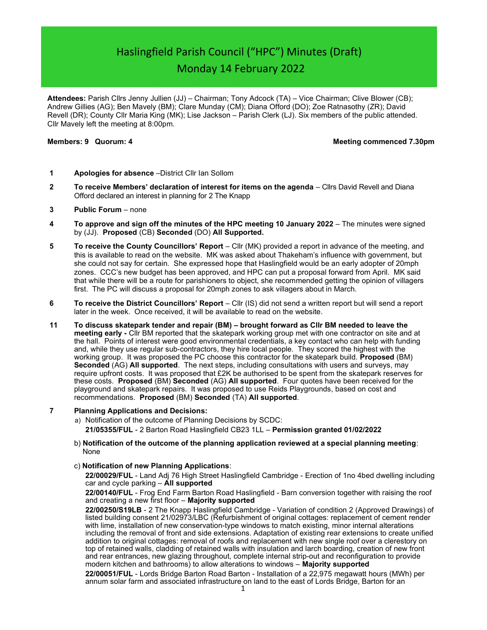# Haslingfield Parish Council ("HPC") Minutes (Draft) Monday 14 February 2022

Attendees: Parish Cllrs Jenny Jullien (JJ) – Chairman; Tony Adcock (TA) – Vice Chairman; Clive Blower (CB); Andrew Gillies (AG); Ben Mavely (BM); Clare Munday (CM); Diana Offord (DO); Zoe Ratnasothy (ZR); David Revell (DR); County Cllr Maria King (MK); Lise Jackson – Parish Clerk (LJ). Six members of the public attended. Cllr Mavely left the meeting at 8:00pm.

## Members: 9 Quorum: 4 Meeting commenced 7.30pm

- 1 **Apologies for absence** District Cllr Ian Sollom
- 2 To receive Members' declaration of interest for items on the agenda Cllrs David Revell and Diana Offord declared an interest in planning for 2 The Knapp
- 3 Public Forum none
- 4 To approve and sign off the minutes of the HPC meeting 10 January 2022 The minutes were signed by (JJ). Proposed (CB) Seconded (DO) All Supported.
- 5 To receive the County Councillors' Report Cllr (MK) provided a report in advance of the meeting, and this is available to read on the website. MK was asked about Thakeham's influence with government, but she could not say for certain. She expressed hope that Haslingfield would be an early adopter of 20mph zones. CCC's new budget has been approved, and HPC can put a proposal forward from April. MK said that while there will be a route for parishioners to object, she recommended getting the opinion of villagers first. The PC will discuss a proposal for 20mph zones to ask villagers about in March.
- 6 To receive the District Councillors' Report Cllr (IS) did not send a written report but will send a report later in the week. Once received, it will be available to read on the website.
- 11 To discuss skatepark tender and repair (BM) brought forward as Cllr BM needed to leave the meeting early - Cllr BM reported that the skatepark working group met with one contractor on site and at the hall. Points of interest were good environmental credentials, a key contact who can help with funding and, while they use regular sub-contractors, they hire local people. They scored the highest with the working group. It was proposed the PC choose this contractor for the skatepark build. Proposed (BM) Seconded (AG) All supported. The next steps, including consultations with users and surveys, may require upfront costs. It was proposed that £2K be authorised to be spent from the skatepark reserves for these costs. Proposed (BM) Seconded (AG) All supported. Four quotes have been received for the playground and skatepark repairs. It was proposed to use Reids Playgrounds, based on cost and recommendations. Proposed (BM) Seconded (TA) All supported.
- 7 Planning Applications and Decisions:
	- a) Notification of the outcome of Planning Decisions by SCDC: 21/05355/FUL - 2 Barton Road Haslingfield CB23 1LL – Permission granted 01/02/2022
	- b) Notification of the outcome of the planning application reviewed at a special planning meeting: None
	- c) Notification of new Planning Applications:

22/00029/FUL - Land Adj 76 High Street Haslingfield Cambridge - Erection of 1no 4bed dwelling including car and cycle parking  $-$  All supported

22/00140/FUL - Frog End Farm Barton Road Haslingfield - Barn conversion together with raising the roof and creating a new first floor – Majority supported

22/00250/S19LB - 2 The Knapp Haslingfield Cambridge - Variation of condition 2 (Approved Drawings) of listed building consent 21/02973/LBC (Refurbishment of original cottages: replacement of cement render with lime, installation of new conservation-type windows to match existing, minor internal alterations including the removal of front and side extensions. Adaptation of existing rear extensions to create unified addition to original cottages: removal of roofs and replacement with new single roof over a clerestory on top of retained walls, cladding of retained walls with insulation and larch boarding, creation of new front and rear entrances, new glazing throughout, complete internal strip-out and reconfiguration to provide modern kitchen and bathrooms) to allow alterations to windows – Majority supported

22/00051/FUL - Lords Bridge Barton Road Barton - Installation of a 22,975 megawatt hours (MWh) per annum solar farm and associated infrastructure on land to the east of Lords Bridge, Barton for an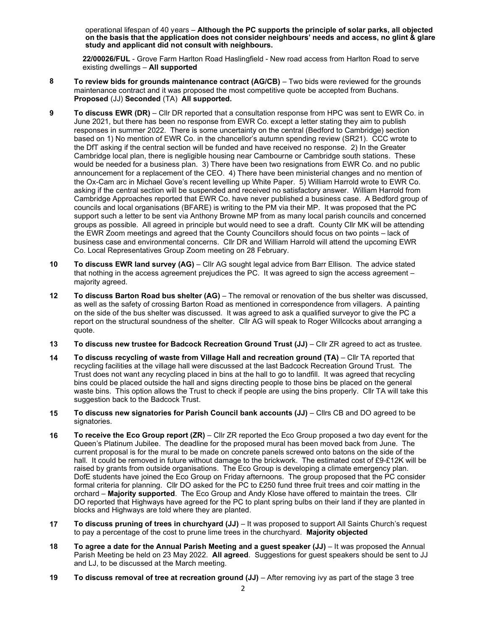operational lifespan of 40 years – Although the PC supports the principle of solar parks, all objected on the basis that the application does not consider neighbours' needs and access, no glint & glare study and applicant did not consult with neighbours.

22/00026/FUL - Grove Farm Harlton Road Haslingfield - New road access from Harlton Road to serve existing dwellings - All supported

- 8 To review bids for grounds maintenance contract (AG/CB) Two bids were reviewed for the grounds maintenance contract and it was proposed the most competitive quote be accepted from Buchans. Proposed (JJ) Seconded (TA) All supported.
- 9 To discuss EWR (DR) Cllr DR reported that a consultation response from HPC was sent to EWR Co. in June 2021, but there has been no response from EWR Co. except a letter stating they aim to publish responses in summer 2022. There is some uncertainty on the central (Bedford to Cambridge) section based on 1) No mention of EWR Co. in the chancellor's autumn spending review (SR21). CCC wrote to the DfT asking if the central section will be funded and have received no response. 2) In the Greater Cambridge local plan, there is negligible housing near Cambourne or Cambridge south stations. These would be needed for a business plan. 3) There have been two resignations from EWR Co. and no public announcement for a replacement of the CEO. 4) There have been ministerial changes and no mention of the Ox-Cam arc in Michael Gove's recent levelling up White Paper. 5) William Harrold wrote to EWR Co. asking if the central section will be suspended and received no satisfactory answer. William Harrold from Cambridge Approaches reported that EWR Co. have never published a business case. A Bedford group of councils and local organisations (BFARE) is writing to the PM via their MP. It was proposed that the PC support such a letter to be sent via Anthony Browne MP from as many local parish councils and concerned groups as possible. All agreed in principle but would need to see a draft. County Cllr MK will be attending the EWR Zoom meetings and agreed that the County Councillors should focus on two points – lack of business case and environmental concerns. Cllr DR and William Harrold will attend the upcoming EWR Co. Local Representatives Group Zoom meeting on 28 February.
- 10 To discuss EWR land survey (AG) Cllr AG sought legal advice from Barr Ellison. The advice stated that nothing in the access agreement prejudices the PC. It was agreed to sign the access agreement – majority agreed.
- 12 To discuss Barton Road bus shelter (AG) The removal or renovation of the bus shelter was discussed, as well as the safety of crossing Barton Road as mentioned in correspondence from villagers. A painting on the side of the bus shelter was discussed. It was agreed to ask a qualified surveyor to give the PC a report on the structural soundness of the shelter. Cllr AG will speak to Roger Willcocks about arranging a quote.
- 13 To discuss new trustee for Badcock Recreation Ground Trust (JJ) Cllr ZR agreed to act as trustee.
- 14 To discuss recycling of waste from Village Hall and recreation ground (TA) Cllr TA reported that recycling facilities at the village hall were discussed at the last Badcock Recreation Ground Trust. The Trust does not want any recycling placed in bins at the hall to go to landfill. It was agreed that recycling bins could be placed outside the hall and signs directing people to those bins be placed on the general waste bins. This option allows the Trust to check if people are using the bins properly. Cllr TA will take this suggestion back to the Badcock Trust.
- 15 To discuss new signatories for Parish Council bank accounts (JJ) Cllrs CB and DO agreed to be signatories.
- 16 To receive the Eco Group report (ZR) Cllr ZR reported the Eco Group proposed a two day event for the Queen's Platinum Jubilee. The deadline for the proposed mural has been moved back from June. The current proposal is for the mural to be made on concrete panels screwed onto batons on the side of the hall. It could be removed in future without damage to the brickwork. The estimated cost of £9-£12K will be raised by grants from outside organisations. The Eco Group is developing a climate emergency plan. DofE students have joined the Eco Group on Friday afternoons. The group proposed that the PC consider formal criteria for planning. Cllr DO asked for the PC to £250 fund three fruit trees and coir matting in the orchard - Majority supported. The Eco Group and Andy Klose have offered to maintain the trees. Cllr DO reported that Highways have agreed for the PC to plant spring bulbs on their land if they are planted in blocks and Highways are told where they are planted.
- 17 To discuss pruning of trees in churchyard (JJ) It was proposed to support All Saints Church's request to pay a percentage of the cost to prune lime trees in the churchyard. Majority objected
- 18 To agree a date for the Annual Parish Meeting and a guest speaker (JJ) It was proposed the Annual Parish Meeting be held on 23 May 2022. All agreed. Suggestions for guest speakers should be sent to JJ and LJ, to be discussed at the March meeting.
- 19 To discuss removal of tree at recreation ground (JJ) After removing ivy as part of the stage 3 tree